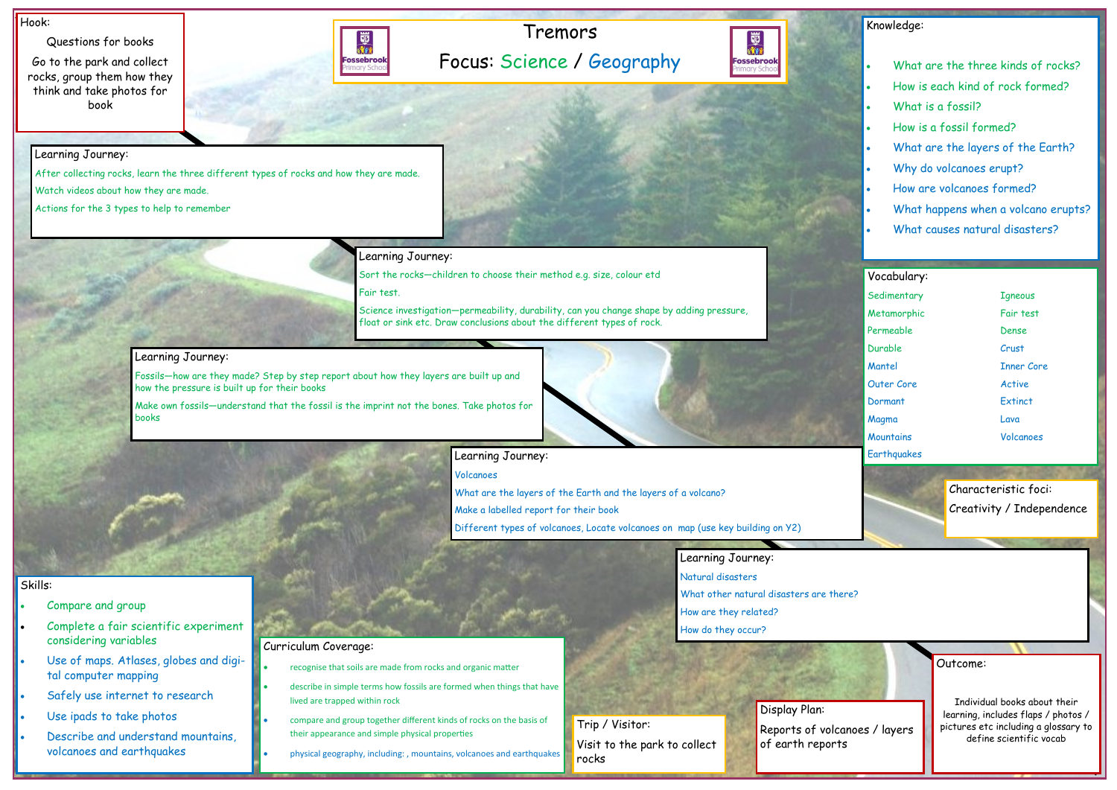## Tremors Focus: Science / Geography



#### Hook:

Questions for books

Go to the park and collect rocks, group them how they think and take photos for book



Outcome: Individual books about their learning, includes flaps / photos / pictures etc including a glossary to define scientific vocab

### Knowledge:

- What are the three kinds of rocks?
- How is each kind of rock formed?
- What is a fossil?
- How is a fossil formed?
- What are the layers of the Earth?
- Why do volcanoes erupt?
- How are volcanoes formed?
- What happens when a volcano erupts?
- What causes natural disasters?

- Compare and group
- Complete a fair scientific experiment considering variables
- Use of maps. Atlases, globes and digital computer mapping
- Safely use internet to research
- Use ipads to take photos
- Describe and understand mountains, volcanoes and earthquakes

## Skills:

Learning Journey:

After collecting rocks, learn the three different types of rocks and how they are made.

Watch videos about how they are made.

Actions for the 3 types to help to remember

Learning Journey:

Sort the rocks—children to choose their method e.g. size, colour etd

## Vocabulary: Sedimentary Tgneous

Metamorphic Fair test Permeable Dense Durable Crust Mantel Inner Core Outer Core **Active** Dormant Extinct Magma Lava Mountains Volcanoes **Earthquakes** 

Fair test.

Science investigation—permeability, durability, can you change shape by adding pressure, float or sink etc. Draw conclusions about the different types of rock.

#### Learning Journey:

Fossils—how are they made? Step by step report about how they layers are built up and how the pressure is built up for their books

Make own fossils—understand that the fossil is the imprint not the bones. Take photos for books

## Learning Journey:

Volcanoes

What are the layers of the Earth and the layers of a volcano?

Make a labelled report for their book

Different types of volcanoes, Locate volcanoes on map (use key building on Y2)

Learning Journey: Natural disasters What other natural disasters are there? How are they related? How do they occur?

#### Curriculum Coverage:

- recognise that soils are made from rocks and organic matter
- describe in simple terms how fossils are formed when things that have lived are trapped within rock
- compare and group together different kinds of rocks on the basis of their appearance and simple physical properties
- physical geography, including: , mountains, volcanoes and earthquakes

Display Plan: Reports of volcanoes / layers of earth reports

Trip / Visitor: Visit to the park to collect rocks

Characteristic foci: Creativity / Independence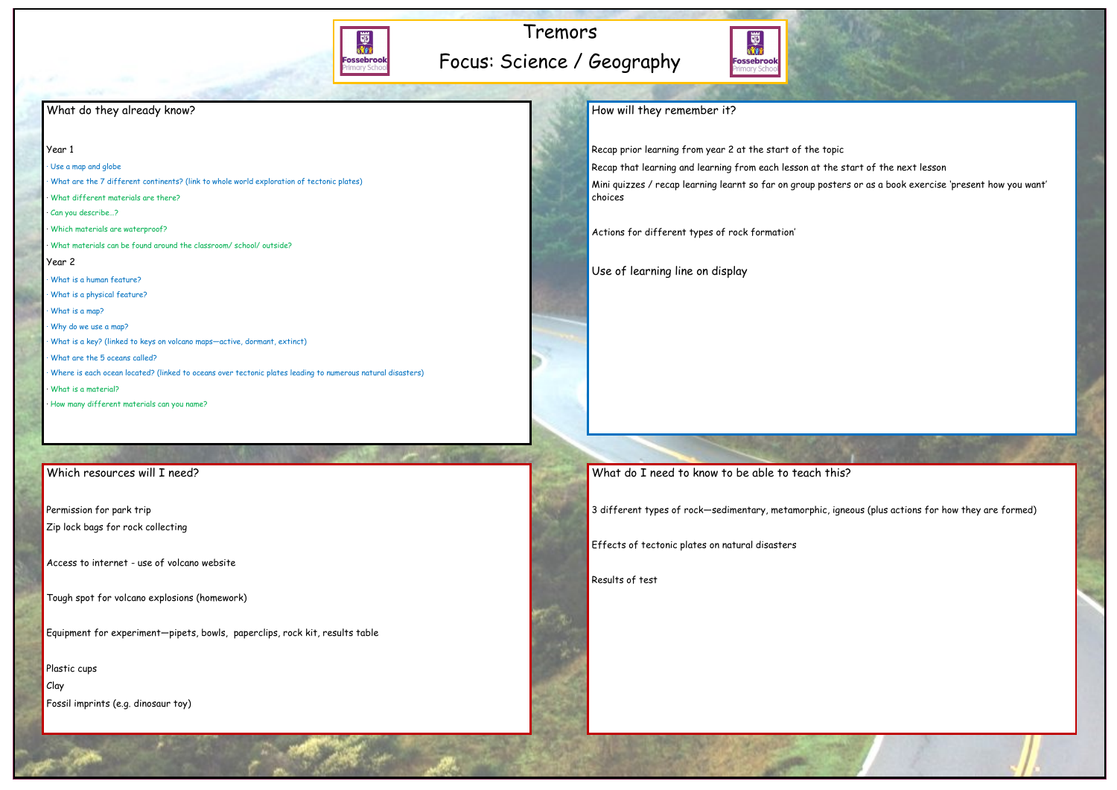

# Tremors Focus: Science / Geography



## What do they already know?

#### Year 1

- · Use a map and globe
- · What are the 7 different continents? (link to whole world exploration of tectonic plates)
- · What different materials are there?
- · Can you describe…?
- · Which materials are waterproof?
- · What materials can be found around the classroom/ school/ outside?

#### Year 2

- · What is a human feature?
- · What is a physical feature?
- · What is a map?
- · Why do we use a map?
- · What is a key? (linked to keys on volcano maps—active, dormant, extinct)
- · What are the 5 oceans called?
- · Where is each ocean located? (linked to oceans over tectonic plates leading to numerous natural disasters)
- · What is a material?
- · How many different materials can you name?

## Which resources will I need?

Recap prior learning from year 2 at the start of the topic Recap that learning and learning from each lesson at the start of the next lesson Mini quizzes / recap learning learnt so far on group posters or as a book exercise 'present how you want' choices

Actions for different types of rock formation'

Use of learning line on display

What do I need to know to be able to teach this?

Permission for park trip

- Zip lock bags for rock collecting
- Access to internet use of volcano website

Tough spot for volcano explosions (homework)

Equipment for experiment—pipets, bowls, paperclips, rock kit, results table

Plastic cups

Clay

Fossil imprints (e.g. dinosaur toy)

How will they remember it?

3 different types of rock—sedimentary, metamorphic, igneous (plus actions for how they are formed)

Effects of tectonic plates on natural disasters

Results of test